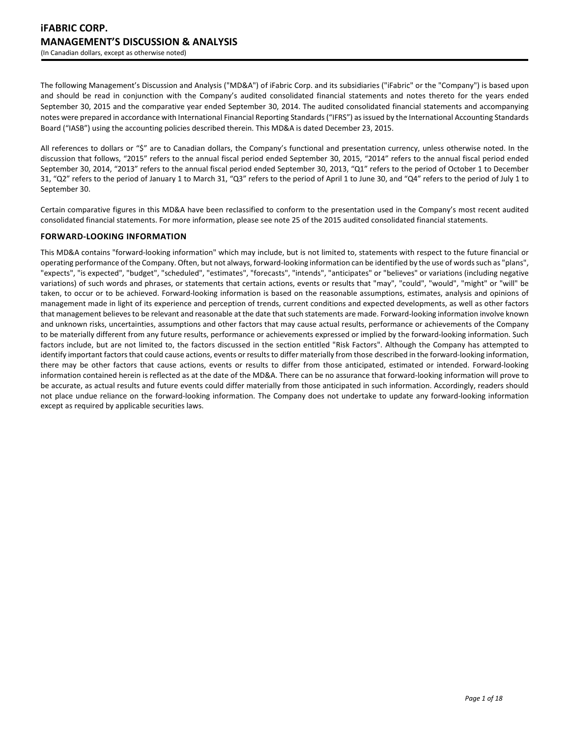The following Management's Discussion and Analysis ("MD&A") of iFabric Corp. and its subsidiaries ("iFabric" or the "Company") is based upon and should be read in conjunction with the Company's audited consolidated financial statements and notes thereto for the years ended September 30, 2015 and the comparative year ended September 30, 2014. The audited consolidated financial statements and accompanying notes were prepared in accordance with International Financial Reporting Standards ("IFRS") as issued by the International Accounting Standards Board ("IASB") using the accounting policies described therein. This MD&A is dated December 23, 2015.

All references to dollars or "\$" are to Canadian dollars, the Company's functional and presentation currency, unless otherwise noted. In the discussion that follows, "2015" refers to the annual fiscal period ended September 30, 2015, "2014" refers to the annual fiscal period ended September 30, 2014, "2013" refers to the annual fiscal period ended September 30, 2013, "Q1" refers to the period of October 1 to December 31, "Q2" refers to the period of January 1 to March 31, "Q3" refers to the period of April 1 to June 30, and "Q4" refers to the period of July 1 to September 30.

Certain comparative figures in this MD&A have been reclassified to conform to the presentation used in the Company's most recent audited consolidated financial statements. For more information, please see note 25 of the 2015 audited consolidated financial statements.

## **FORWARD-LOOKING INFORMATION**

This MD&A contains "forward-looking information" which may include, but is not limited to, statements with respect to the future financial or operating performance of the Company. Often, but not always, forward-looking information can be identified by the use of words such as "plans", "expects", "is expected", "budget", "scheduled", "estimates", "forecasts", "intends", "anticipates" or "believes" or variations (including negative variations) of such words and phrases, or statements that certain actions, events or results that "may", "could", "would", "might" or "will" be taken, to occur or to be achieved. Forward-looking information is based on the reasonable assumptions, estimates, analysis and opinions of management made in light of its experience and perception of trends, current conditions and expected developments, as well as other factors that management believes to be relevant and reasonable at the date that such statements are made. Forward-looking information involve known and unknown risks, uncertainties, assumptions and other factors that may cause actual results, performance or achievements of the Company to be materially different from any future results, performance or achievements expressed or implied by the forward-looking information. Such factors include, but are not limited to, the factors discussed in the section entitled "Risk Factors". Although the Company has attempted to identify important factors that could cause actions, events or results to differ materially from those described in the forward-looking information, there may be other factors that cause actions, events or results to differ from those anticipated, estimated or intended. Forward-looking information contained herein is reflected as at the date of the MD&A. There can be no assurance that forward-looking information will prove to be accurate, as actual results and future events could differ materially from those anticipated in such information. Accordingly, readers should not place undue reliance on the forward-looking information. The Company does not undertake to update any forward-looking information except as required by applicable securities laws.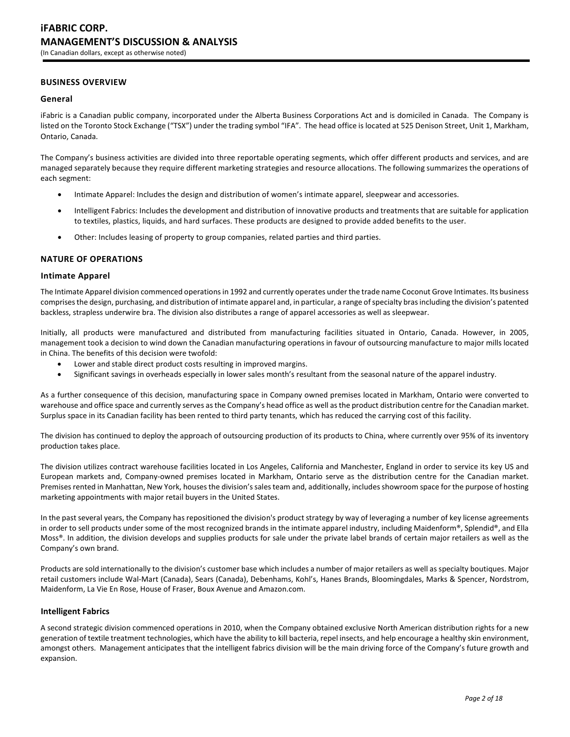## **BUSINESS OVERVIEW**

## **General**

iFabric is a Canadian public company, incorporated under the Alberta Business Corporations Act and is domiciled in Canada. The Company is listed on the Toronto Stock Exchange ("TSX") under the trading symbol "IFA". The head office is located at 525 Denison Street, Unit 1, Markham, Ontario, Canada.

The Company's business activities are divided into three reportable operating segments, which offer different products and services, and are managed separately because they require different marketing strategies and resource allocations. The following summarizes the operations of each segment:

- Intimate Apparel: Includes the design and distribution of women's intimate apparel, sleepwear and accessories.
- Intelligent Fabrics: Includes the development and distribution of innovative products and treatments that are suitable for application to textiles, plastics, liquids, and hard surfaces. These products are designed to provide added benefits to the user.
- Other: Includes leasing of property to group companies, related parties and third parties.

## **NATURE OF OPERATIONS**

## **Intimate Apparel**

The Intimate Apparel division commenced operations in 1992 and currently operates under the trade name Coconut Grove Intimates. Its business comprises the design, purchasing, and distribution of intimate apparel and, in particular, a range of specialty bras including the division's patented backless, strapless underwire bra. The division also distributes a range of apparel accessories as well as sleepwear.

Initially, all products were manufactured and distributed from manufacturing facilities situated in Ontario, Canada. However, in 2005, management took a decision to wind down the Canadian manufacturing operations in favour of outsourcing manufacture to major mills located in China. The benefits of this decision were twofold:

- Lower and stable direct product costs resulting in improved margins.
- Significant savings in overheads especially in lower sales month's resultant from the seasonal nature of the apparel industry.

As a further consequence of this decision, manufacturing space in Company owned premises located in Markham, Ontario were converted to warehouse and office space and currently serves as the Company's head office as well as the product distribution centre for the Canadian market. Surplus space in its Canadian facility has been rented to third party tenants, which has reduced the carrying cost of this facility.

The division has continued to deploy the approach of outsourcing production of its products to China, where currently over 95% of its inventory production takes place.

The division utilizes contract warehouse facilities located in Los Angeles, California and Manchester, England in order to service its key US and European markets and, Company-owned premises located in Markham, Ontario serve as the distribution centre for the Canadian market. Premises rented in Manhattan, New York, houses the division's sales team and, additionally, includes showroom space for the purpose of hosting marketing appointments with major retail buyers in the United States.

In the past several years, the Company has repositioned the division's product strategy by way of leveraging a number of key license agreements in order to sell products under some of the most recognized brands in the intimate apparel industry, including Maidenform®, Splendid®, and Ella Moss®. In addition, the division develops and supplies products for sale under the private label brands of certain major retailers as well as the Company's own brand.

Products are sold internationally to the division's customer base which includes a number of major retailers as well as specialty boutiques. Major retail customers include Wal-Mart (Canada), Sears (Canada), Debenhams, Kohl's, Hanes Brands, Bloomingdales, Marks & Spencer, Nordstrom, Maidenform, La Vie En Rose, House of Fraser, Boux Avenue and Amazon.com.

## **Intelligent Fabrics**

A second strategic division commenced operations in 2010, when the Company obtained exclusive North American distribution rights for a new generation of textile treatment technologies, which have the ability to kill bacteria, repel insects, and help encourage a healthy skin environment, amongst others. Management anticipates that the intelligent fabrics division will be the main driving force of the Company's future growth and expansion.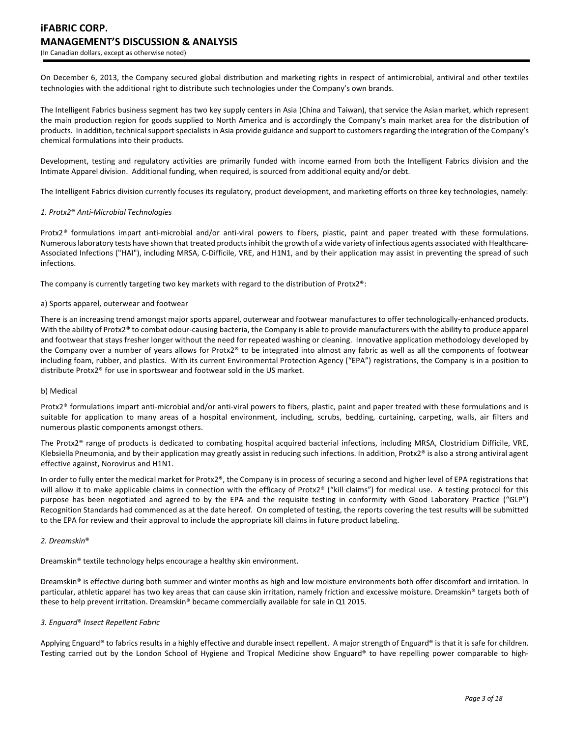On December 6, 2013, the Company secured global distribution and marketing rights in respect of antimicrobial, antiviral and other textiles technologies with the additional right to distribute such technologies under the Company's own brands.

The Intelligent Fabrics business segment has two key supply centers in Asia (China and Taiwan), that service the Asian market, which represent the main production region for goods supplied to North America and is accordingly the Company's main market area for the distribution of products. In addition, technical support specialists in Asia provide guidance and support to customers regarding the integration of the Company's chemical formulations into their products.

Development, testing and regulatory activities are primarily funded with income earned from both the Intelligent Fabrics division and the Intimate Apparel division. Additional funding, when required, is sourced from additional equity and/or debt.

The Intelligent Fabrics division currently focuses its regulatory, product development, and marketing efforts on three key technologies, namely:

#### *1. Protx2*® *Anti-Microbial Technologies*

Protx2*®* formulations impart anti-microbial and/or anti-viral powers to fibers, plastic, paint and paper treated with these formulations. Numerous laboratory tests have shown that treated products inhibit the growth of a wide variety of infectious agents associated with Healthcare-Associated Infections ("HAI"), including MRSA, C-Difficile, VRE, and H1N1, and by their application may assist in preventing the spread of such infections.

The company is currently targeting two key markets with regard to the distribution of Protx2®:

#### a) Sports apparel, outerwear and footwear

There is an increasing trend amongst major sports apparel, outerwear and footwear manufactures to offer technologically-enhanced products. With the ability of Protx2<sup>®</sup> to combat odour-causing bacteria, the Company is able to provide manufacturers with the ability to produce apparel and footwear that stays fresher longer without the need for repeated washing or cleaning. Innovative application methodology developed by the Company over a number of years allows for Protx2® to be integrated into almost any fabric as well as all the components of footwear including foam, rubber, and plastics. With its current Environmental Protection Agency ("EPA") registrations, the Company is in a position to distribute Protx2® for use in sportswear and footwear sold in the US market.

#### b) Medical

Protx2® formulations impart anti-microbial and/or anti-viral powers to fibers, plastic, paint and paper treated with these formulations and is suitable for application to many areas of a hospital environment, including, scrubs, bedding, curtaining, carpeting, walls, air filters and numerous plastic components amongst others.

The Protx2® range of products is dedicated to combating hospital acquired bacterial infections, including MRSA, Clostridium Difficile, VRE, Klebsiella Pneumonia, and by their application may greatly assist in reducing such infections. In addition, Protx $2^{\circ}$  is also a strong antiviral agent effective against, Norovirus and H1N1.

In order to fully enter the medical market for Protx2®, the Company is in process of securing a second and higher level of EPA registrations that will allow it to make applicable claims in connection with the efficacy of Protx2® ("kill claims") for medical use. A testing protocol for this purpose has been negotiated and agreed to by the EPA and the requisite testing in conformity with Good Laboratory Practice ("GLP") Recognition Standards had commenced as at the date hereof. On completed of testing, the reports covering the test results will be submitted to the EPA for review and their approval to include the appropriate kill claims in future product labeling.

#### *2. Dreamskin*®

Dreamskin® textile technology helps encourage a healthy skin environment.

Dreamskin® is effective during both summer and winter months as high and low moisture environments both offer discomfort and irritation. In particular, athletic apparel has two key areas that can cause skin irritation, namely friction and excessive moisture. Dreamskin® targets both of these to help prevent irritation. Dreamskin® became commercially available for sale in Q1 2015.

## *3. Enguard*® *Insect Repellent Fabric*

Applying Enguard® to fabrics results in a highly effective and durable insect repellent. A major strength of Enguard® is that it is safe for children. Testing carried out by the London School of Hygiene and Tropical Medicine show Enguard® to have repelling power comparable to high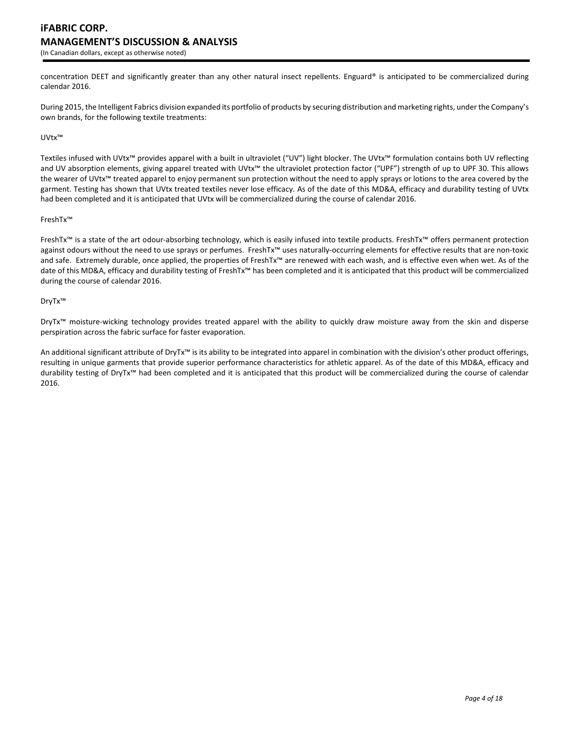concentration DEET and significantly greater than any other natural insect repellents. Enguard® is anticipated to be commercialized during calendar 2016.

During 2015, the Intelligent Fabrics division expanded its portfolio of products by securing distribution and marketing rights, under the Company's own brands, for the following textile treatments:

### UVtx™

Textiles infused with UVtx™ provides apparel with a built in ultraviolet ("UV") light blocker. The UVtx™ formulation contains both UV reflecting and UV absorption elements, giving apparel treated with UVtx™ the ultraviolet protection factor ("UPF") strength of up to UPF 30. This allows the wearer of UVtx™ treated apparel to enjoy permanent sun protection without the need to apply sprays or lotions to the area covered by the garment. Testing has shown that UVtx treated textiles never lose efficacy. As of the date of this MD&A, efficacy and durability testing of UVtx had been completed and it is anticipated that UVtx will be commercialized during the course of calendar 2016.

#### FreshTx™

FreshTx™ is a state of the art odour-absorbing technology, which is easily infused into textile products. FreshTx™ offers permanent protection against odours without the need to use sprays or perfumes. FreshTx™ uses naturally-occurring elements for effective results that are non-toxic and safe. Extremely durable, once applied, the properties of FreshTx™ are renewed with each wash, and is effective even when wet. As of the date of this MD&A, efficacy and durability testing of FreshTx™ has been completed and it is anticipated that this product will be commercialized during the course of calendar 2016.

### DryTx™

DryTx™ moisture-wicking technology provides treated apparel with the ability to quickly draw moisture away from the skin and disperse perspiration across the fabric surface for faster evaporation.

An additional significant attribute of DryTx<sup>™</sup> is its ability to be integrated into apparel in combination with the division's other product offerings, resulting in unique garments that provide superior performance characteristics for athletic apparel. As of the date of this MD&A, efficacy and durability testing of DryTx™ had been completed and it is anticipated that this product will be commercialized during the course of calendar 2016.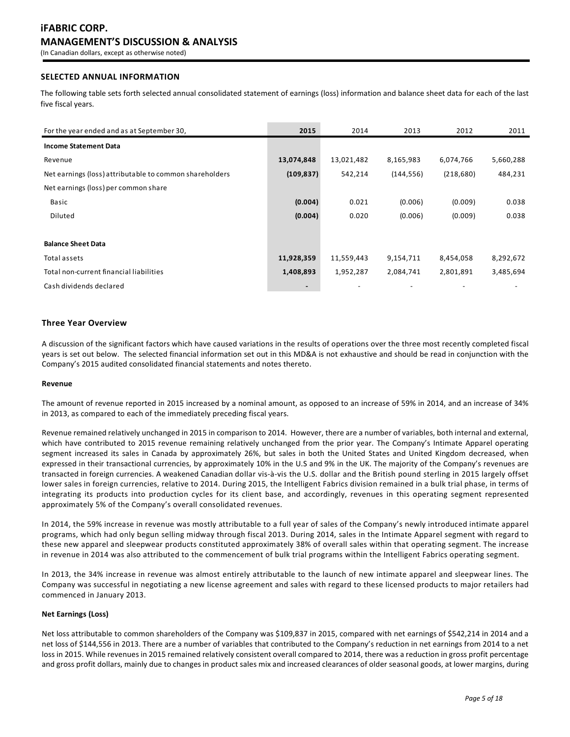## **SELECTED ANNUAL INFORMATION**

The following table sets forth selected annual consolidated statement of earnings (loss) information and balance sheet data for each of the last five fiscal years.

| For the year ended and as at September 30,              | 2015       | 2014       | 2013       | 2012       | 2011      |
|---------------------------------------------------------|------------|------------|------------|------------|-----------|
| <b>Income Statement Data</b>                            |            |            |            |            |           |
| Revenue                                                 | 13,074,848 | 13,021,482 | 8,165,983  | 6,074,766  | 5,660,288 |
| Net earnings (loss) attributable to common shareholders | (109, 837) | 542,214    | (144, 556) | (218, 680) | 484,231   |
| Net earnings (loss) per common share                    |            |            |            |            |           |
| <b>Basic</b>                                            | (0.004)    | 0.021      | (0.006)    | (0.009)    | 0.038     |
| Diluted                                                 | (0.004)    | 0.020      | (0.006)    | (0.009)    | 0.038     |
|                                                         |            |            |            |            |           |
| <b>Balance Sheet Data</b>                               |            |            |            |            |           |
| Total assets                                            | 11,928,359 | 11,559,443 | 9,154,711  | 8,454,058  | 8,292,672 |
| Total non-current financial liabilities                 | 1,408,893  | 1,952,287  | 2,084,741  | 2,801,891  | 3,485,694 |
| Cash dividends declared                                 |            |            |            |            |           |

## **Three Year Overview**

A discussion of the significant factors which have caused variations in the results of operations over the three most recently completed fiscal years is set out below. The selected financial information set out in this MD&A is not exhaustive and should be read in conjunction with the Company's 2015 audited consolidated financial statements and notes thereto.

## **Revenue**

The amount of revenue reported in 2015 increased by a nominal amount, as opposed to an increase of 59% in 2014, and an increase of 34% in 2013, as compared to each of the immediately preceding fiscal years.

Revenue remained relatively unchanged in 2015 in comparison to 2014. However, there are a number of variables, both internal and external, which have contributed to 2015 revenue remaining relatively unchanged from the prior year. The Company's Intimate Apparel operating segment increased its sales in Canada by approximately 26%, but sales in both the United States and United Kingdom decreased, when expressed in their transactional currencies, by approximately 10% in the U.S and 9% in the UK. The majority of the Company's revenues are transacted in foreign currencies. A weakened Canadian dollar vis-à-vis the U.S. dollar and the British pound sterling in 2015 largely offset lower sales in foreign currencies, relative to 2014. During 2015, the Intelligent Fabrics division remained in a bulk trial phase, in terms of integrating its products into production cycles for its client base, and accordingly, revenues in this operating segment represented approximately 5% of the Company's overall consolidated revenues.

In 2014, the 59% increase in revenue was mostly attributable to a full year of sales of the Company's newly introduced intimate apparel programs, which had only begun selling midway through fiscal 2013. During 2014, sales in the Intimate Apparel segment with regard to these new apparel and sleepwear products constituted approximately 38% of overall sales within that operating segment. The increase in revenue in 2014 was also attributed to the commencement of bulk trial programs within the Intelligent Fabrics operating segment.

In 2013, the 34% increase in revenue was almost entirely attributable to the launch of new intimate apparel and sleepwear lines. The Company was successful in negotiating a new license agreement and sales with regard to these licensed products to major retailers had commenced in January 2013.

## **Net Earnings (Loss)**

Net loss attributable to common shareholders of the Company was \$109,837 in 2015, compared with net earnings of \$542,214 in 2014 and a net loss of \$144,556 in 2013. There are a number of variables that contributed to the Company's reduction in net earnings from 2014 to a net loss in 2015. While revenues in 2015 remained relatively consistent overall compared to 2014, there was a reduction in gross profit percentage and gross profit dollars, mainly due to changes in product sales mix and increased clearances of older seasonal goods, at lower margins, during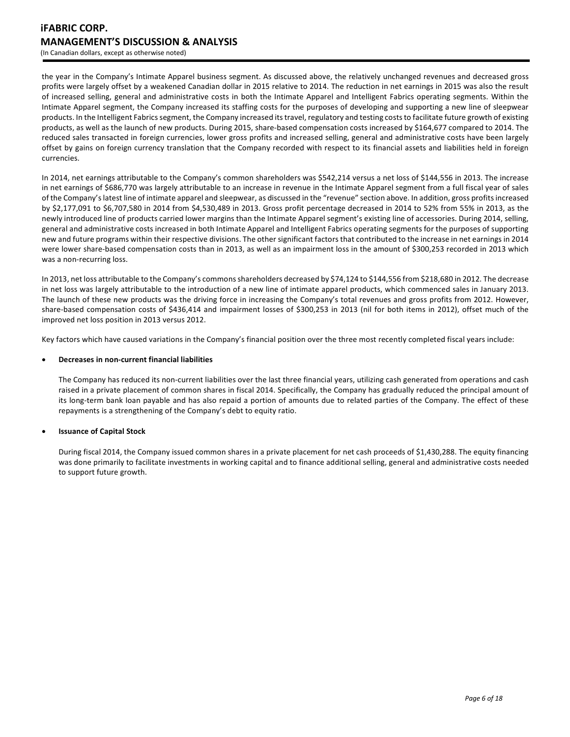# **iFABRIC CORP. MANAGEMENT'S DISCUSSION & ANALYSIS**  (In Canadian dollars, except as otherwise noted)

the year in the Company's Intimate Apparel business segment. As discussed above, the relatively unchanged revenues and decreased gross profits were largely offset by a weakened Canadian dollar in 2015 relative to 2014. The reduction in net earnings in 2015 was also the result of increased selling, general and administrative costs in both the Intimate Apparel and Intelligent Fabrics operating segments. Within the Intimate Apparel segment, the Company increased its staffing costs for the purposes of developing and supporting a new line of sleepwear products. In the Intelligent Fabrics segment, the Company increased its travel, regulatory and testing costs to facilitate future growth of existing products, as well as the launch of new products. During 2015, share-based compensation costs increased by \$164,677 compared to 2014. The reduced sales transacted in foreign currencies, lower gross profits and increased selling, general and administrative costs have been largely offset by gains on foreign currency translation that the Company recorded with respect to its financial assets and liabilities held in foreign currencies.

In 2014, net earnings attributable to the Company's common shareholders was \$542,214 versus a net loss of \$144,556 in 2013. The increase in net earnings of \$686,770 was largely attributable to an increase in revenue in the Intimate Apparel segment from a full fiscal year of sales of the Company's latest line of intimate apparel and sleepwear, as discussed in the "revenue" section above. In addition, gross profits increased by \$2,177,091 to \$6,707,580 in 2014 from \$4,530,489 in 2013. Gross profit percentage decreased in 2014 to 52% from 55% in 2013, as the newly introduced line of products carried lower margins than the Intimate Apparel segment's existing line of accessories. During 2014, selling, general and administrative costs increased in both Intimate Apparel and Intelligent Fabrics operating segments for the purposes of supporting new and future programs within their respective divisions. The other significant factors that contributed to the increase in net earnings in 2014 were lower share-based compensation costs than in 2013, as well as an impairment loss in the amount of \$300,253 recorded in 2013 which was a non-recurring loss.

In 2013, net loss attributable to the Company's commons shareholders decreased by \$74,124 to \$144,556 from \$218,680 in 2012. The decrease in net loss was largely attributable to the introduction of a new line of intimate apparel products, which commenced sales in January 2013. The launch of these new products was the driving force in increasing the Company's total revenues and gross profits from 2012. However, share-based compensation costs of \$436,414 and impairment losses of \$300,253 in 2013 (nil for both items in 2012), offset much of the improved net loss position in 2013 versus 2012.

Key factors which have caused variations in the Company's financial position over the three most recently completed fiscal years include:

## • **Decreases in non-current financial liabilities**

The Company has reduced its non-current liabilities over the last three financial years, utilizing cash generated from operations and cash raised in a private placement of common shares in fiscal 2014. Specifically, the Company has gradually reduced the principal amount of its long-term bank loan payable and has also repaid a portion of amounts due to related parties of the Company. The effect of these repayments is a strengthening of the Company's debt to equity ratio.

## • **Issuance of Capital Stock**

During fiscal 2014, the Company issued common shares in a private placement for net cash proceeds of \$1,430,288. The equity financing was done primarily to facilitate investments in working capital and to finance additional selling, general and administrative costs needed to support future growth.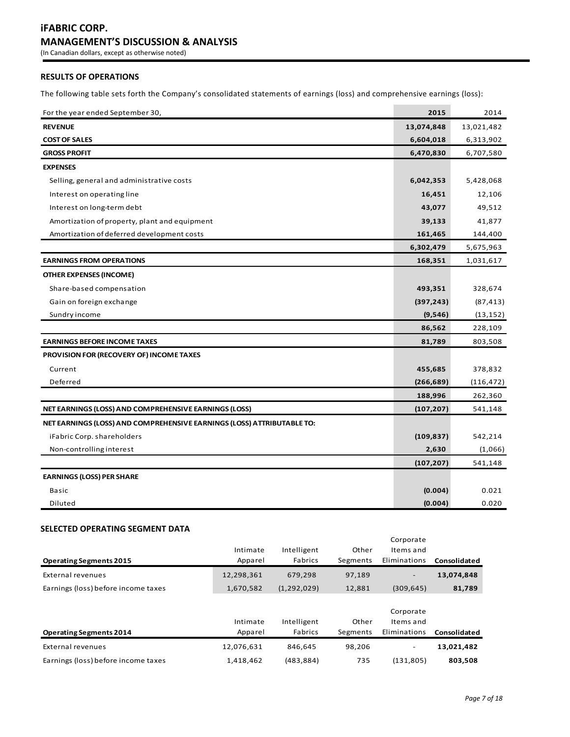# **RESULTS OF OPERATIONS**

The following table sets forth the Company's consolidated statements of earnings (loss) and comprehensive earnings (loss):

| For the year ended September 30,                                       | 2015       | 2014       |
|------------------------------------------------------------------------|------------|------------|
| <b>REVENUE</b>                                                         | 13,074,848 | 13,021,482 |
| <b>COST OF SALES</b>                                                   | 6,604,018  | 6,313,902  |
| <b>GROSS PROFIT</b>                                                    | 6,470,830  | 6,707,580  |
| <b>EXPENSES</b>                                                        |            |            |
| Selling, general and administrative costs                              | 6,042,353  | 5,428,068  |
| Interest on operating line                                             | 16,451     | 12,106     |
| Interest on long-term debt                                             | 43,077     | 49,512     |
| Amortization of property, plant and equipment                          | 39,133     | 41,877     |
| Amortization of deferred development costs                             | 161,465    | 144,400    |
|                                                                        | 6,302,479  | 5,675,963  |
| <b>EARNINGS FROM OPERATIONS</b>                                        | 168,351    | 1,031,617  |
| <b>OTHER EXPENSES (INCOME)</b>                                         |            |            |
| Share-based compensation                                               | 493,351    | 328,674    |
| Gain on foreign exchange                                               | (397, 243) | (87, 413)  |
| Sundry income                                                          | (9, 546)   | (13, 152)  |
|                                                                        | 86,562     | 228,109    |
| <b>EARNINGS BEFORE INCOME TAXES</b>                                    | 81,789     | 803,508    |
| <b>PROVISION FOR (RECOVERY OF) INCOME TAXES</b>                        |            |            |
| Current                                                                | 455,685    | 378,832    |
| Deferred                                                               | (266, 689) | (116, 472) |
|                                                                        | 188,996    | 262,360    |
| NET EARNINGS (LOSS) AND COMPREHENSIVE EARNINGS (LOSS)                  | (107, 207) | 541,148    |
| NET EARNINGS (LOSS) AND COMPREHENSIVE EARNINGS (LOSS) ATTRIBUTABLE TO: |            |            |
| iFabric Corp. shareholders                                             | (109, 837) | 542,214    |
| Non-controlling interest                                               | 2,630      | (1,066)    |
|                                                                        | (107, 207) | 541,148    |
| <b>EARNINGS (LOSS) PER SHARE</b>                                       |            |            |
| Basic                                                                  | (0.004)    | 0.021      |
| Diluted                                                                | (0.004)    | 0.020      |

# **SELECTED OPERATING SEGMENT DATA**

| <b>Operating Segments 2015</b>      | Intimate<br>Apparel | Intelligent<br>Fabrics | Other<br>Segments | Corporate<br>Items and<br>Eliminations | Consolidated |
|-------------------------------------|---------------------|------------------------|-------------------|----------------------------------------|--------------|
| External revenues                   | 12,298,361          | 679.298                | 97.189            | $\overline{\phantom{a}}$               | 13,074,848   |
| Earnings (loss) before income taxes | 1,670,582           | (1, 292, 029)          | 12,881            | (309, 645)                             | 81,789       |
| <b>Operating Segments 2014</b>      | Intimate<br>Apparel | Intelligent<br>Fabrics | Other<br>Segments | Corporate<br>Items and<br>Eliminations | Consolidated |
| External revenues                   | 12.076.631          | 846.645                | 98.206            | -                                      | 13,021,482   |
| Earnings (loss) before income taxes | 1,418,462           | (483, 884)             | 735               | (131, 805)                             | 803.508      |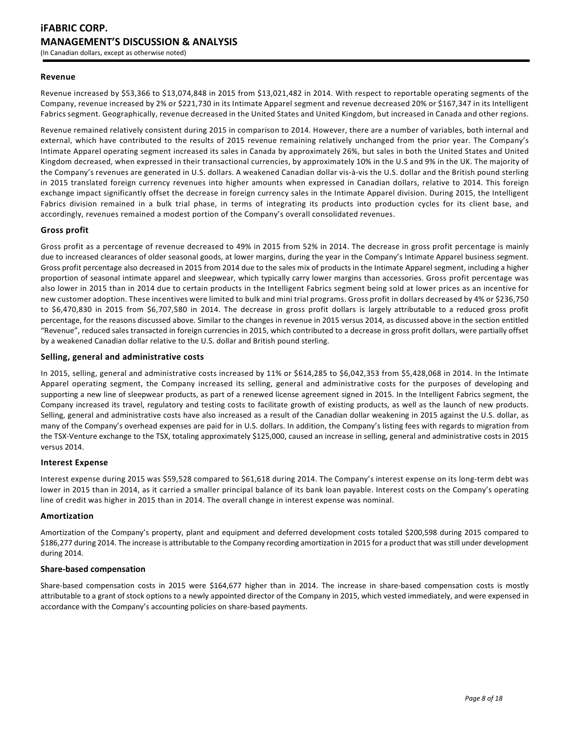## **Revenue**

Revenue increased by \$53,366 to \$13,074,848 in 2015 from \$13,021,482 in 2014. With respect to reportable operating segments of the Company, revenue increased by 2% or \$221,730 in its Intimate Apparel segment and revenue decreased 20% or \$167,347 in its Intelligent Fabrics segment. Geographically, revenue decreased in the United States and United Kingdom, but increased in Canada and other regions.

Revenue remained relatively consistent during 2015 in comparison to 2014. However, there are a number of variables, both internal and external, which have contributed to the results of 2015 revenue remaining relatively unchanged from the prior year. The Company's Intimate Apparel operating segment increased its sales in Canada by approximately 26%, but sales in both the United States and United Kingdom decreased, when expressed in their transactional currencies, by approximately 10% in the U.S and 9% in the UK. The majority of the Company's revenues are generated in U.S. dollars. A weakened Canadian dollar vis-à-vis the U.S. dollar and the British pound sterling in 2015 translated foreign currency revenues into higher amounts when expressed in Canadian dollars, relative to 2014. This foreign exchange impact significantly offset the decrease in foreign currency sales in the Intimate Apparel division. During 2015, the Intelligent Fabrics division remained in a bulk trial phase, in terms of integrating its products into production cycles for its client base, and accordingly, revenues remained a modest portion of the Company's overall consolidated revenues.

## **Gross profit**

Gross profit as a percentage of revenue decreased to 49% in 2015 from 52% in 2014. The decrease in gross profit percentage is mainly due to increased clearances of older seasonal goods, at lower margins, during the year in the Company's Intimate Apparel business segment. Gross profit percentage also decreased in 2015 from 2014 due to the sales mix of products in the Intimate Apparel segment, including a higher proportion of seasonal intimate apparel and sleepwear, which typically carry lower margins than accessories. Gross profit percentage was also lower in 2015 than in 2014 due to certain products in the Intelligent Fabrics segment being sold at lower prices as an incentive for new customer adoption. These incentives were limited to bulk and mini trial programs. Gross profit in dollars decreased by 4% or \$236,750 to \$6,470,830 in 2015 from \$6,707,580 in 2014. The decrease in gross profit dollars is largely attributable to a reduced gross profit percentage, for the reasons discussed above. Similar to the changes in revenue in 2015 versus 2014, as discussed above in the section entitled "Revenue", reduced sales transacted in foreign currencies in 2015, which contributed to a decrease in gross profit dollars, were partially offset by a weakened Canadian dollar relative to the U.S. dollar and British pound sterling.

## **Selling, general and administrative costs**

In 2015, selling, general and administrative costs increased by 11% or \$614,285 to \$6,042,353 from \$5,428,068 in 2014. In the Intimate Apparel operating segment, the Company increased its selling, general and administrative costs for the purposes of developing and supporting a new line of sleepwear products, as part of a renewed license agreement signed in 2015. In the Intelligent Fabrics segment, the Company increased its travel, regulatory and testing costs to facilitate growth of existing products, as well as the launch of new products. Selling, general and administrative costs have also increased as a result of the Canadian dollar weakening in 2015 against the U.S. dollar, as many of the Company's overhead expenses are paid for in U.S. dollars. In addition, the Company's listing fees with regards to migration from the TSX-Venture exchange to the TSX, totaling approximately \$125,000, caused an increase in selling, general and administrative costs in 2015 versus 2014.

## **Interest Expense**

Interest expense during 2015 was \$59,528 compared to \$61,618 during 2014. The Company's interest expense on its long-term debt was lower in 2015 than in 2014, as it carried a smaller principal balance of its bank loan payable. Interest costs on the Company's operating line of credit was higher in 2015 than in 2014. The overall change in interest expense was nominal.

## **Amortization**

Amortization of the Company's property, plant and equipment and deferred development costs totaled \$200,598 during 2015 compared to \$186,277 during 2014. The increase is attributable to the Company recording amortization in 2015 for a product that was still under development during 2014.

## **Share-based compensation**

Share-based compensation costs in 2015 were \$164,677 higher than in 2014. The increase in share-based compensation costs is mostly attributable to a grant of stock options to a newly appointed director of the Company in 2015, which vested immediately, and were expensed in accordance with the Company's accounting policies on share-based payments.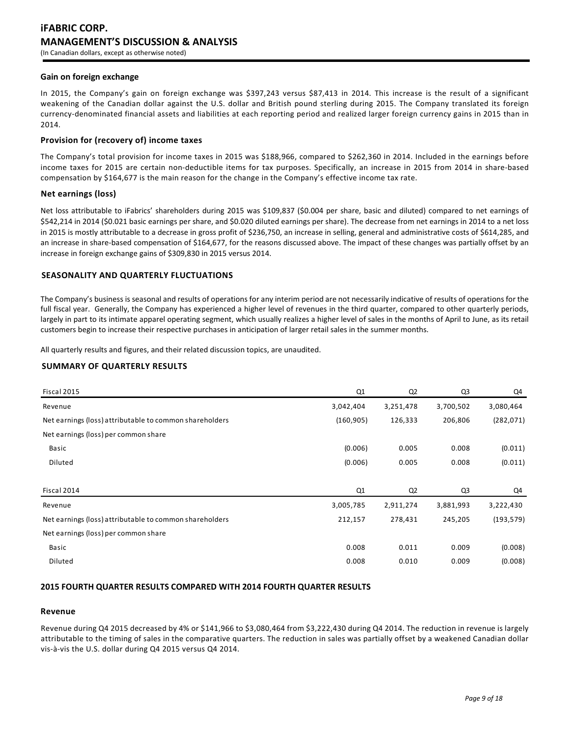## **Gain on foreign exchange**

In 2015, the Company's gain on foreign exchange was \$397,243 versus \$87,413 in 2014. This increase is the result of a significant weakening of the Canadian dollar against the U.S. dollar and British pound sterling during 2015. The Company translated its foreign currency-denominated financial assets and liabilities at each reporting period and realized larger foreign currency gains in 2015 than in 2014.

## **Provision for (recovery of) income taxes**

The Company's total provision for income taxes in 2015 was \$188,966, compared to \$262,360 in 2014. Included in the earnings before income taxes for 2015 are certain non-deductible items for tax purposes. Specifically, an increase in 2015 from 2014 in share-based compensation by \$164,677 is the main reason for the change in the Company's effective income tax rate.

## **Net earnings (loss)**

Net loss attributable to iFabrics' shareholders during 2015 was \$109,837 (\$0.004 per share, basic and diluted) compared to net earnings of \$542,214 in 2014 (\$0.021 basic earnings per share, and \$0.020 diluted earnings per share). The decrease from net earnings in 2014 to a net loss in 2015 is mostly attributable to a decrease in gross profit of \$236,750, an increase in selling, general and administrative costs of \$614,285, and an increase in share-based compensation of \$164,677, for the reasons discussed above. The impact of these changes was partially offset by an increase in foreign exchange gains of \$309,830 in 2015 versus 2014.

## **SEASONALITY AND QUARTERLY FLUCTUATIONS**

The Company's business is seasonal and results of operations for any interim period are not necessarily indicative of results of operations for the full fiscal year. Generally, the Company has experienced a higher level of revenues in the third quarter, compared to other quarterly periods, largely in part to its intimate apparel operating segment, which usually realizes a higher level of sales in the months of April to June, as its retail customers begin to increase their respective purchases in anticipation of larger retail sales in the summer months.

All quarterly results and figures, and their related discussion topics, are unaudited.

## **SUMMARY OF QUARTERLY RESULTS**

| 3,042,404<br>3,251,478                                                           | 3,700,502            |            |
|----------------------------------------------------------------------------------|----------------------|------------|
|                                                                                  |                      | 3,080,464  |
| (160, 905)<br>Net earnings (loss) attributable to common shareholders<br>126,333 | 206,806              | (282, 071) |
| Net earnings (loss) per common share                                             |                      |            |
| (0.006)<br>0.005                                                                 | 0.008                | (0.011)    |
| (0.006)<br>0.005                                                                 | 0.008                | (0.011)    |
|                                                                                  |                      |            |
| Q1                                                                               | Q <sub>2</sub><br>Q3 | Q4         |
| 3,005,785<br>2,911,274                                                           | 3,881,993            | 3,222,430  |
| Net earnings (loss) attributable to common shareholders<br>212,157<br>278,431    | 245,205              | (193, 579) |
| Net earnings (loss) per common share                                             |                      |            |
| 0.008<br>0.011                                                                   | 0.009                | (0.008)    |
| 0.008<br>0.010                                                                   | 0.009                | (0.008)    |
|                                                                                  |                      |            |

## **2015 FOURTH QUARTER RESULTS COMPARED WITH 2014 FOURTH QUARTER RESULTS**

# **Revenue**

Revenue during Q4 2015 decreased by 4% or \$141,966 to \$3,080,464 from \$3,222,430 during Q4 2014. The reduction in revenue is largely attributable to the timing of sales in the comparative quarters. The reduction in sales was partially offset by a weakened Canadian dollar vis-à-vis the U.S. dollar during Q4 2015 versus Q4 2014.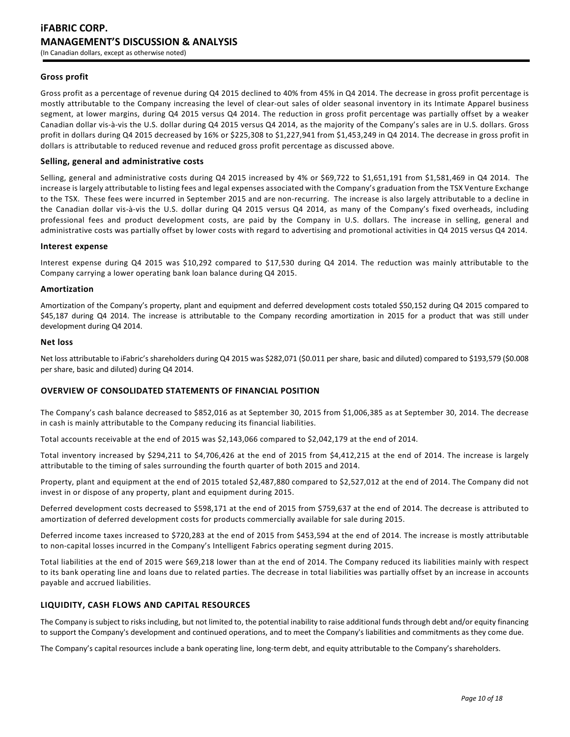## **Gross profit**

Gross profit as a percentage of revenue during Q4 2015 declined to 40% from 45% in Q4 2014. The decrease in gross profit percentage is mostly attributable to the Company increasing the level of clear-out sales of older seasonal inventory in its Intimate Apparel business segment, at lower margins, during Q4 2015 versus Q4 2014. The reduction in gross profit percentage was partially offset by a weaker Canadian dollar vis-à-vis the U.S. dollar during Q4 2015 versus Q4 2014, as the majority of the Company's sales are in U.S. dollars. Gross profit in dollars during Q4 2015 decreased by 16% or \$225,308 to \$1,227,941 from \$1,453,249 in Q4 2014. The decrease in gross profit in dollars is attributable to reduced revenue and reduced gross profit percentage as discussed above.

## **Selling, general and administrative costs**

Selling, general and administrative costs during Q4 2015 increased by 4% or \$69,722 to \$1,651,191 from \$1,581,469 in Q4 2014. The increase is largely attributable to listing fees and legal expenses associated with the Company's graduation from the TSX Venture Exchange to the TSX. These fees were incurred in September 2015 and are non-recurring. The increase is also largely attributable to a decline in the Canadian dollar vis-à-vis the U.S. dollar during Q4 2015 versus Q4 2014, as many of the Company's fixed overheads, including professional fees and product development costs, are paid by the Company in U.S. dollars. The increase in selling, general and administrative costs was partially offset by lower costs with regard to advertising and promotional activities in Q4 2015 versus Q4 2014.

## **Interest expense**

Interest expense during Q4 2015 was \$10,292 compared to \$17,530 during Q4 2014. The reduction was mainly attributable to the Company carrying a lower operating bank loan balance during Q4 2015.

#### **Amortization**

Amortization of the Company's property, plant and equipment and deferred development costs totaled \$50,152 during Q4 2015 compared to \$45,187 during Q4 2014. The increase is attributable to the Company recording amortization in 2015 for a product that was still under development during Q4 2014.

## **Net loss**

Net loss attributable to iFabric's shareholders during Q4 2015 was \$282,071 (\$0.011 per share, basic and diluted) compared to \$193,579 (\$0.008 per share, basic and diluted) during Q4 2014.

## **OVERVIEW OF CONSOLIDATED STATEMENTS OF FINANCIAL POSITION**

The Company's cash balance decreased to \$852,016 as at September 30, 2015 from \$1,006,385 as at September 30, 2014. The decrease in cash is mainly attributable to the Company reducing its financial liabilities.

Total accounts receivable at the end of 2015 was \$2,143,066 compared to \$2,042,179 at the end of 2014.

Total inventory increased by \$294,211 to \$4,706,426 at the end of 2015 from \$4,412,215 at the end of 2014. The increase is largely attributable to the timing of sales surrounding the fourth quarter of both 2015 and 2014.

Property, plant and equipment at the end of 2015 totaled \$2,487,880 compared to \$2,527,012 at the end of 2014. The Company did not invest in or dispose of any property, plant and equipment during 2015.

Deferred development costs decreased to \$598,171 at the end of 2015 from \$759,637 at the end of 2014. The decrease is attributed to amortization of deferred development costs for products commercially available for sale during 2015.

Deferred income taxes increased to \$720,283 at the end of 2015 from \$453,594 at the end of 2014. The increase is mostly attributable to non-capital losses incurred in the Company's Intelligent Fabrics operating segment during 2015.

Total liabilities at the end of 2015 were \$69,218 lower than at the end of 2014. The Company reduced its liabilities mainly with respect to its bank operating line and loans due to related parties. The decrease in total liabilities was partially offset by an increase in accounts payable and accrued liabilities.

## **LIQUIDITY, CASH FLOWS AND CAPITAL RESOURCES**

The Company is subject to risks including, but not limited to, the potential inability to raise additional funds through debt and/or equity financing to support the Company's development and continued operations, and to meet the Company's liabilities and commitments as they come due.

The Company's capital resources include a bank operating line, long-term debt, and equity attributable to the Company's shareholders.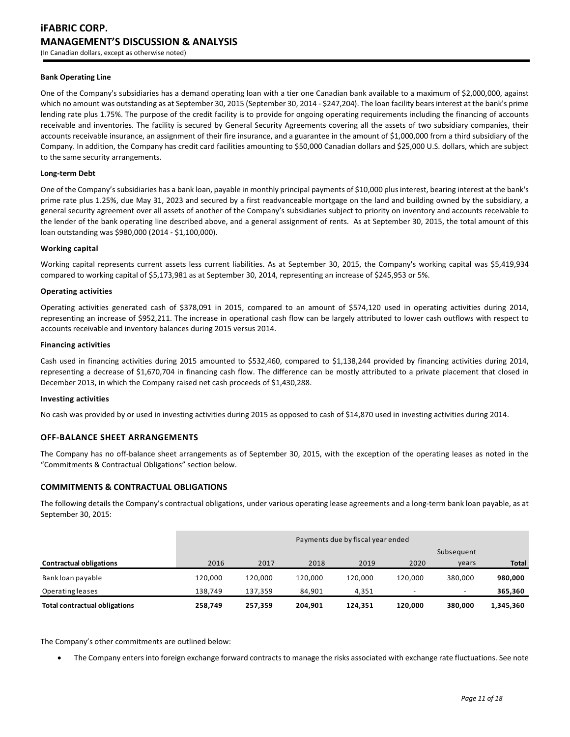#### **Bank Operating Line**

One of the Company's subsidiaries has a demand operating loan with a tier one Canadian bank available to a maximum of \$2,000,000, against which no amount was outstanding as at September 30, 2015 (September 30, 2014 - \$247,204). The loan facility bears interest at the bank's prime lending rate plus 1.75%. The purpose of the credit facility is to provide for ongoing operating requirements including the financing of accounts receivable and inventories. The facility is secured by General Security Agreements covering all the assets of two subsidiary companies, their accounts receivable insurance, an assignment of their fire insurance, and a guarantee in the amount of \$1,000,000 from a third subsidiary of the Company. In addition, the Company has credit card facilities amounting to \$50,000 Canadian dollars and \$25,000 U.S. dollars, which are subject to the same security arrangements.

#### **Long-term Debt**

One of the Company's subsidiaries has a bank loan, payable in monthly principal payments of \$10,000 plus interest, bearing interest at the bank's prime rate plus 1.25%, due May 31, 2023 and secured by a first readvanceable mortgage on the land and building owned by the subsidiary, a general security agreement over all assets of another of the Company's subsidiaries subject to priority on inventory and accounts receivable to the lender of the bank operating line described above, and a general assignment of rents. As at September 30, 2015, the total amount of this loan outstanding was \$980,000 (2014 - \$1,100,000).

#### **Working capital**

Working capital represents current assets less current liabilities. As at September 30, 2015, the Company's working capital was \$5,419,934 compared to working capital of \$5,173,981 as at September 30, 2014, representing an increase of \$245,953 or 5%.

#### **Operating activities**

Operating activities generated cash of \$378,091 in 2015, compared to an amount of \$574,120 used in operating activities during 2014, representing an increase of \$952,211. The increase in operational cash flow can be largely attributed to lower cash outflows with respect to accounts receivable and inventory balances during 2015 versus 2014.

#### **Financing activities**

Cash used in financing activities during 2015 amounted to \$532,460, compared to \$1,138,244 provided by financing activities during 2014, representing a decrease of \$1,670,704 in financing cash flow. The difference can be mostly attributed to a private placement that closed in December 2013, in which the Company raised net cash proceeds of \$1,430,288.

## **Investing activities**

No cash was provided by or used in investing activities during 2015 as opposed to cash of \$14,870 used in investing activities during 2014.

## **OFF-BALANCE SHEET ARRANGEMENTS**

The Company has no off-balance sheet arrangements as of September 30, 2015, with the exception of the operating leases as noted in the "Commitments & Contractual Obligations" section below.

## **COMMITMENTS & CONTRACTUAL OBLIGATIONS**

The following details the Company's contractual obligations, under various operating lease agreements and a long-term bank loan payable, as at September 30, 2015:

|                                      | Payments due by fiscal year ended |         |         |         |         |            |              |
|--------------------------------------|-----------------------------------|---------|---------|---------|---------|------------|--------------|
|                                      |                                   |         |         |         |         | Subsequent |              |
| <b>Contractual obligations</b>       | 2016                              | 2017    | 2018    | 2019    | 2020    | years      | <b>Total</b> |
| Bank loan payable                    | 120,000                           | 120.000 | 120.000 | 120,000 | 120,000 | 380,000    | 980,000      |
| Operating leases                     | 138.749                           | 137,359 | 84,901  | 4.351   |         |            | 365,360      |
| <b>Total contractual obligations</b> | 258,749                           | 257,359 | 204.901 | 124.351 | 120,000 | 380,000    | 1,345,360    |

The Company's other commitments are outlined below:

• The Company enters into foreign exchange forward contracts to manage the risks associated with exchange rate fluctuations. See note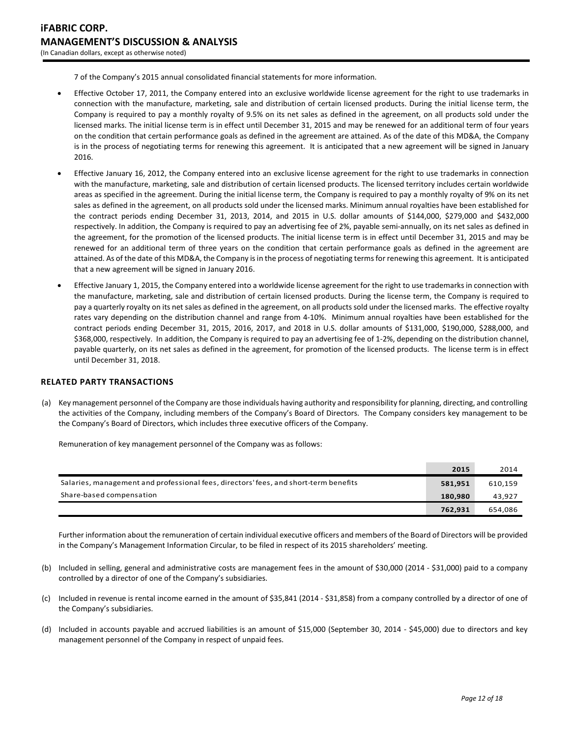7 of the Company's 2015 annual consolidated financial statements for more information.

- Effective October 17, 2011, the Company entered into an exclusive worldwide license agreement for the right to use trademarks in connection with the manufacture, marketing, sale and distribution of certain licensed products. During the initial license term, the Company is required to pay a monthly royalty of 9.5% on its net sales as defined in the agreement, on all products sold under the licensed marks. The initial license term is in effect until December 31, 2015 and may be renewed for an additional term of four years on the condition that certain performance goals as defined in the agreement are attained. As of the date of this MD&A, the Company is in the process of negotiating terms for renewing this agreement. It is anticipated that a new agreement will be signed in January 2016.
- Effective January 16, 2012, the Company entered into an exclusive license agreement for the right to use trademarks in connection with the manufacture, marketing, sale and distribution of certain licensed products. The licensed territory includes certain worldwide areas as specified in the agreement. During the initial license term, the Company is required to pay a monthly royalty of 9% on its net sales as defined in the agreement, on all products sold under the licensed marks. Minimum annual royalties have been established for the contract periods ending December 31, 2013, 2014, and 2015 in U.S. dollar amounts of \$144,000, \$279,000 and \$432,000 respectively. In addition, the Company is required to pay an advertising fee of 2%, payable semi-annually, on its net sales as defined in the agreement, for the promotion of the licensed products. The initial license term is in effect until December 31, 2015 and may be renewed for an additional term of three years on the condition that certain performance goals as defined in the agreement are attained. As of the date of this MD&A, the Company is in the process of negotiating terms for renewing this agreement. It is anticipated that a new agreement will be signed in January 2016.
- Effective January 1, 2015, the Company entered into a worldwide license agreement for the right to use trademarks in connection with the manufacture, marketing, sale and distribution of certain licensed products. During the license term, the Company is required to pay a quarterly royalty on its net sales as defined in the agreement, on all products sold under the licensed marks. The effective royalty rates vary depending on the distribution channel and range from 4-10%. Minimum annual royalties have been established for the contract periods ending December 31, 2015, 2016, 2017, and 2018 in U.S. dollar amounts of \$131,000, \$190,000, \$288,000, and \$368,000, respectively. In addition, the Company is required to pay an advertising fee of 1-2%, depending on the distribution channel, payable quarterly, on its net sales as defined in the agreement, for promotion of the licensed products. The license term is in effect until December 31, 2018.

## **RELATED PARTY TRANSACTIONS**

(a) Key management personnel of the Company are those individuals having authority and responsibility for planning, directing, and controlling the activities of the Company, including members of the Company's Board of Directors. The Company considers key management to be the Company's Board of Directors, which includes three executive officers of the Company.

Remuneration of key management personnel of the Company was as follows:

|                                                                                      | 2015    | 2014    |
|--------------------------------------------------------------------------------------|---------|---------|
| Salaries, management and professional fees, directors' fees, and short-term benefits | 581,951 | 610,159 |
| Share-based compensation                                                             | 180.980 | 43,927  |
|                                                                                      | 762,931 | 654,086 |

Further information about the remuneration of certain individual executive officers and members of the Board of Directors will be provided in the Company's Management Information Circular, to be filed in respect of its 2015 shareholders' meeting.

- (b) Included in selling, general and administrative costs are management fees in the amount of \$30,000 (2014 \$31,000) paid to a company controlled by a director of one of the Company's subsidiaries.
- (c) Included in revenue is rental income earned in the amount of \$35,841 (2014 \$31,858) from a company controlled by a director of one of the Company's subsidiaries.
- (d) Included in accounts payable and accrued liabilities is an amount of \$15,000 (September 30, 2014 \$45,000) due to directors and key management personnel of the Company in respect of unpaid fees.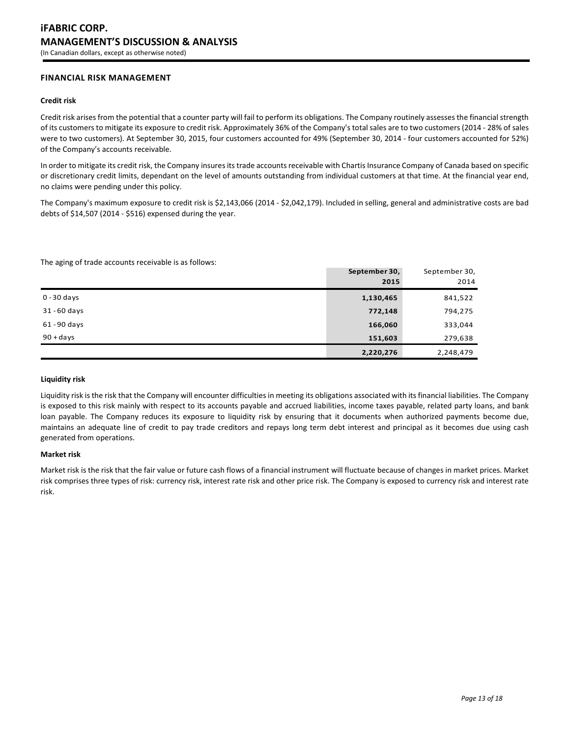## **FINANCIAL RISK MANAGEMENT**

### **Credit risk**

Credit risk arises from the potential that a counter party will fail to perform its obligations. The Company routinely assesses the financial strength of its customers to mitigate its exposure to credit risk. Approximately 36% of the Company's total sales are to two customers (2014 - 28% of sales were to two customers). At September 30, 2015, four customers accounted for 49% (September 30, 2014 - four customers accounted for 52%) of the Company's accounts receivable.

In order to mitigate its credit risk, the Company insures its trade accounts receivable with Chartis Insurance Company of Canada based on specific or discretionary credit limits, dependant on the level of amounts outstanding from individual customers at that time. At the financial year end, no claims were pending under this policy.

The Company's maximum exposure to credit risk is \$2,143,066 (2014 - \$2,042,179). Included in selling, general and administrative costs are bad debts of \$14,507 (2014 - \$516) expensed during the year.

The aging of trade accounts receivable is as follows:

|               | September 30,<br>2015 | September 30,<br>2014 |
|---------------|-----------------------|-----------------------|
| $0 - 30$ days | 1,130,465             | 841,522               |
| 31-60 days    | 772,148               | 794,275               |
| 61 - 90 days  | 166,060               | 333,044               |
| $90 + days$   | 151,603               | 279,638               |
|               | 2,220,276             | 2,248,479             |

## **Liquidity risk**

Liquidity risk is the risk that the Company will encounter difficulties in meeting its obligations associated with its financial liabilities. The Company is exposed to this risk mainly with respect to its accounts payable and accrued liabilities, income taxes payable, related party loans, and bank loan payable. The Company reduces its exposure to liquidity risk by ensuring that it documents when authorized payments become due, maintains an adequate line of credit to pay trade creditors and repays long term debt interest and principal as it becomes due using cash generated from operations.

## **Market risk**

Market risk is the risk that the fair value or future cash flows of a financial instrument will fluctuate because of changes in market prices. Market risk comprises three types of risk: currency risk, interest rate risk and other price risk. The Company is exposed to currency risk and interest rate risk.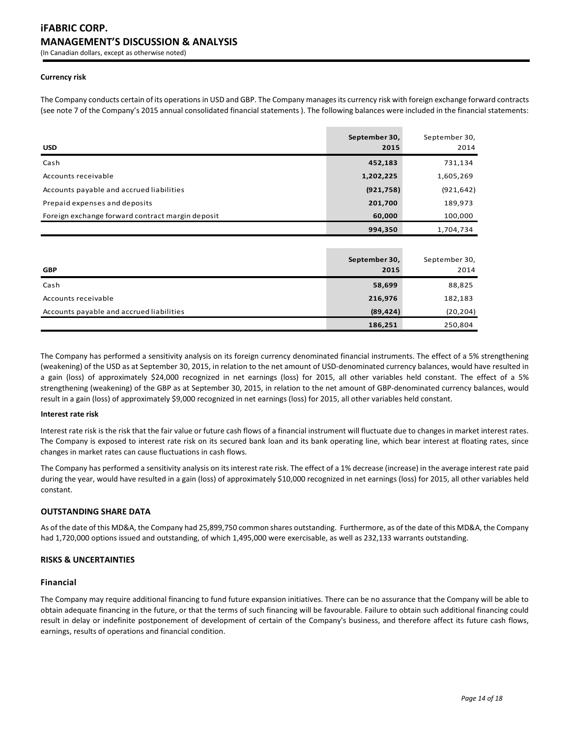## **Currency risk**

The Company conducts certain of its operations in USD and GBP. The Company manages its currency risk with foreign exchange forward contracts (see note 7 of the Company's 2015 annual consolidated financial statements ). The following balances were included in the financial statements:

| <b>USD</b>                                       | September 30,<br>2015 | September 30,<br>2014 |
|--------------------------------------------------|-----------------------|-----------------------|
| Cash                                             | 452,183               | 731,134               |
| Accounts receivable                              | 1,202,225             | 1,605,269             |
| Accounts payable and accrued liabilities         | (921, 758)            | (921, 642)            |
| Prepaid expenses and deposits                    | 201,700               | 189,973               |
| Foreign exchange forward contract margin deposit | 60,000                | 100,000               |
|                                                  | 994,350               | 1,704,734             |
|                                                  |                       |                       |
| <b>GBP</b>                                       | September 30,<br>2015 | September 30,<br>2014 |
| Cash                                             | 58,699                | 88,825                |
| Accounts receivable                              | 216,976               | 182,183               |
| Accounts payable and accrued liabilities         | (89, 424)             | (20, 204)             |
|                                                  | 186,251               | 250,804               |

The Company has performed a sensitivity analysis on its foreign currency denominated financial instruments. The effect of a 5% strengthening (weakening) of the USD as at September 30, 2015, in relation to the net amount of USD-denominated currency balances, would have resulted in a gain (loss) of approximately \$24,000 recognized in net earnings (loss) for 2015, all other variables held constant. The effect of a 5% strengthening (weakening) of the GBP as at September 30, 2015, in relation to the net amount of GBP-denominated currency balances, would result in a gain (loss) of approximately \$9,000 recognized in net earnings (loss) for 2015, all other variables held constant.

## **Interest rate risk**

Interest rate risk is the risk that the fair value or future cash flows of a financial instrument will fluctuate due to changes in market interest rates. The Company is exposed to interest rate risk on its secured bank loan and its bank operating line, which bear interest at floating rates, since changes in market rates can cause fluctuations in cash flows.

The Company has performed a sensitivity analysis on its interest rate risk. The effect of a 1% decrease (increase) in the average interest rate paid during the year, would have resulted in a gain (loss) of approximately \$10,000 recognized in net earnings (loss) for 2015, all other variables held constant.

## **OUTSTANDING SHARE DATA**

As of the date of this MD&A, the Company had 25,899,750 common shares outstanding. Furthermore, as of the date of this MD&A, the Company had 1,720,000 options issued and outstanding, of which 1,495,000 were exercisable, as well as 232,133 warrants outstanding.

## **RISKS & UNCERTAINTIES**

## **Financial**

The Company may require additional financing to fund future expansion initiatives. There can be no assurance that the Company will be able to obtain adequate financing in the future, or that the terms of such financing will be favourable. Failure to obtain such additional financing could result in delay or indefinite postponement of development of certain of the Company's business, and therefore affect its future cash flows, earnings, results of operations and financial condition.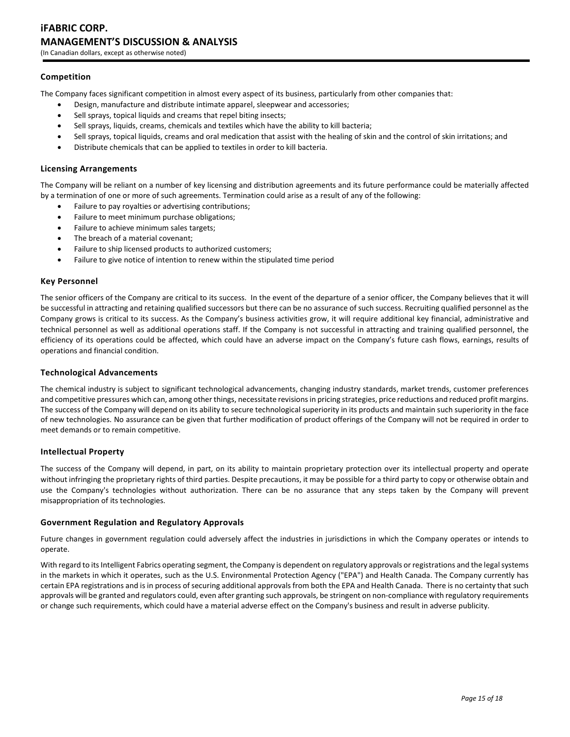## **Competition**

The Company faces significant competition in almost every aspect of its business, particularly from other companies that:

- Design, manufacture and distribute intimate apparel, sleepwear and accessories;
- Sell sprays, topical liquids and creams that repel biting insects;
- Sell sprays, liquids, creams, chemicals and textiles which have the ability to kill bacteria;
- Sell sprays, topical liquids, creams and oral medication that assist with the healing of skin and the control of skin irritations; and
- Distribute chemicals that can be applied to textiles in order to kill bacteria.

## **Licensing Arrangements**

The Company will be reliant on a number of key licensing and distribution agreements and its future performance could be materially affected by a termination of one or more of such agreements. Termination could arise as a result of any of the following:

- Failure to pay royalties or advertising contributions;
- Failure to meet minimum purchase obligations;
- Failure to achieve minimum sales targets;
- The breach of a material covenant;
- Failure to ship licensed products to authorized customers;
- Failure to give notice of intention to renew within the stipulated time period

## **Key Personnel**

The senior officers of the Company are critical to its success. In the event of the departure of a senior officer, the Company believes that it will be successful in attracting and retaining qualified successors but there can be no assurance of such success. Recruiting qualified personnel as the Company grows is critical to its success. As the Company's business activities grow, it will require additional key financial, administrative and technical personnel as well as additional operations staff. If the Company is not successful in attracting and training qualified personnel, the efficiency of its operations could be affected, which could have an adverse impact on the Company's future cash flows, earnings, results of operations and financial condition.

## **Technological Advancements**

The chemical industry is subject to significant technological advancements, changing industry standards, market trends, customer preferences and competitive pressures which can, among other things, necessitate revisions in pricing strategies, price reductions and reduced profit margins. The success of the Company will depend on its ability to secure technological superiority in its products and maintain such superiority in the face of new technologies. No assurance can be given that further modification of product offerings of the Company will not be required in order to meet demands or to remain competitive.

## **Intellectual Property**

The success of the Company will depend, in part, on its ability to maintain proprietary protection over its intellectual property and operate without infringing the proprietary rights of third parties. Despite precautions, it may be possible for a third party to copy or otherwise obtain and use the Company's technologies without authorization. There can be no assurance that any steps taken by the Company will prevent misappropriation of its technologies.

## **Government Regulation and Regulatory Approvals**

Future changes in government regulation could adversely affect the industries in jurisdictions in which the Company operates or intends to operate.

With regard to its Intelligent Fabrics operating segment, the Company is dependent on regulatory approvals or registrations and the legal systems in the markets in which it operates, such as the U.S. Environmental Protection Agency ("EPA") and Health Canada. The Company currently has certain EPA registrations and is in process of securing additional approvals from both the EPA and Health Canada. There is no certainty that such approvals will be granted and regulators could, even after granting such approvals, be stringent on non-compliance with regulatory requirements or change such requirements, which could have a material adverse effect on the Company's business and result in adverse publicity.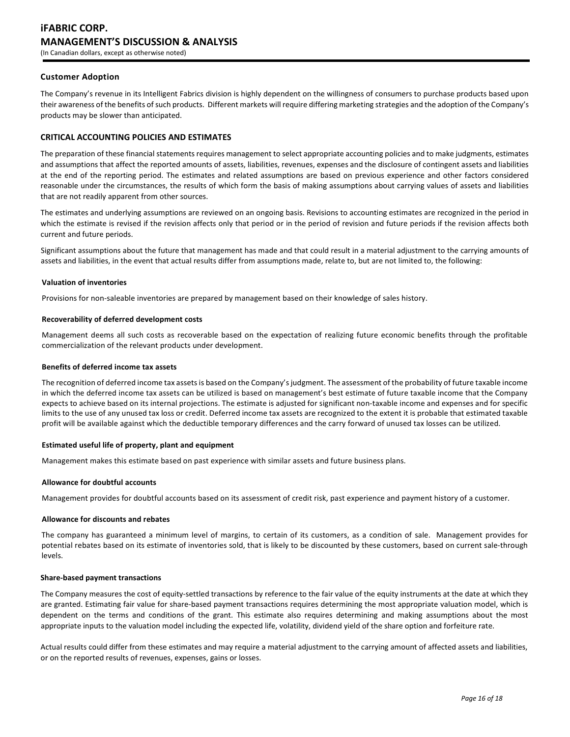## **Customer Adoption**

The Company's revenue in its Intelligent Fabrics division is highly dependent on the willingness of consumers to purchase products based upon their awareness of the benefits of such products. Different markets will require differing marketing strategies and the adoption of the Company's products may be slower than anticipated.

## **CRITICAL ACCOUNTING POLICIES AND ESTIMATES**

The preparation of these financial statements requires management to select appropriate accounting policies and to make judgments, estimates and assumptions that affect the reported amounts of assets, liabilities, revenues, expenses and the disclosure of contingent assets and liabilities at the end of the reporting period. The estimates and related assumptions are based on previous experience and other factors considered reasonable under the circumstances, the results of which form the basis of making assumptions about carrying values of assets and liabilities that are not readily apparent from other sources.

The estimates and underlying assumptions are reviewed on an ongoing basis. Revisions to accounting estimates are recognized in the period in which the estimate is revised if the revision affects only that period or in the period of revision and future periods if the revision affects both current and future periods.

Significant assumptions about the future that management has made and that could result in a material adjustment to the carrying amounts of assets and liabilities, in the event that actual results differ from assumptions made, relate to, but are not limited to, the following:

#### **Valuation of inventories**

Provisions for non-saleable inventories are prepared by management based on their knowledge of sales history.

#### **Recoverability of deferred development costs**

Management deems all such costs as recoverable based on the expectation of realizing future economic benefits through the profitable commercialization of the relevant products under development.

#### **Benefits of deferred income tax assets**

The recognition of deferred income tax assets is based on the Company's judgment. The assessment of the probability of future taxable income in which the deferred income tax assets can be utilized is based on management's best estimate of future taxable income that the Company expects to achieve based on its internal projections. The estimate is adjusted for significant non-taxable income and expenses and for specific limits to the use of any unused tax loss or credit. Deferred income tax assets are recognized to the extent it is probable that estimated taxable profit will be available against which the deductible temporary differences and the carry forward of unused tax losses can be utilized.

#### **Estimated useful life of property, plant and equipment**

Management makes this estimate based on past experience with similar assets and future business plans.

#### **Allowance for doubtful accounts**

Management provides for doubtful accounts based on its assessment of credit risk, past experience and payment history of a customer.

#### **Allowance for discounts and rebates**

The company has guaranteed a minimum level of margins, to certain of its customers, as a condition of sale. Management provides for potential rebates based on its estimate of inventories sold, that is likely to be discounted by these customers, based on current sale-through levels.

#### **Share-based payment transactions**

The Company measures the cost of equity-settled transactions by reference to the fair value of the equity instruments at the date at which they are granted. Estimating fair value for share-based payment transactions requires determining the most appropriate valuation model, which is dependent on the terms and conditions of the grant. This estimate also requires determining and making assumptions about the most appropriate inputs to the valuation model including the expected life, volatility, dividend yield of the share option and forfeiture rate.

Actual results could differ from these estimates and may require a material adjustment to the carrying amount of affected assets and liabilities, or on the reported results of revenues, expenses, gains or losses.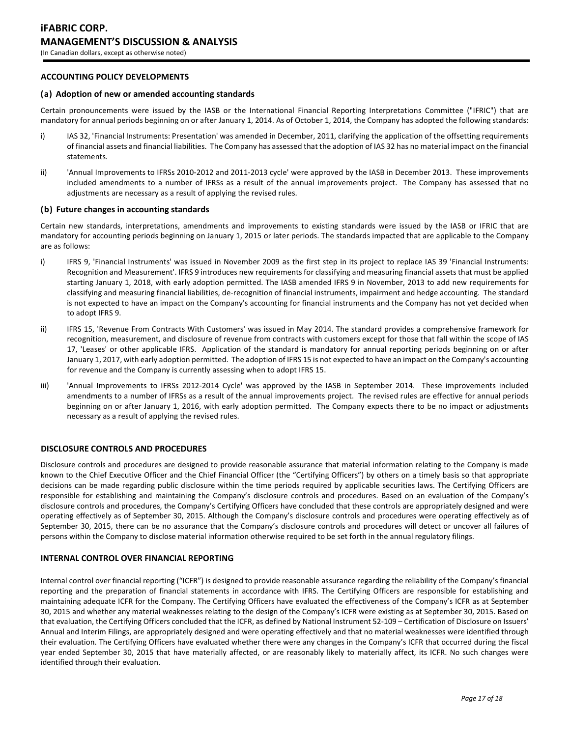## **ACCOUNTING POLICY DEVELOPMENTS**

### **(a) Adoption of new or amended accounting standards**

Certain pronouncements were issued by the IASB or the International Financial Reporting Interpretations Committee ("IFRIC") that are mandatory for annual periods beginning on or after January 1, 2014. As of October 1, 2014, the Company has adopted the following standards:

- i) IAS 32, 'Financial Instruments: Presentation' was amended in December, 2011, clarifying the application of the offsetting requirements of financial assets and financial liabilities. The Company has assessed that the adoption of IAS 32 has no material impact on the financial statements.
- ii) Yannual Improvements to IFRSs 2010-2012 and 2011-2013 cycle' were approved by the IASB in December 2013. These improvements included amendments to a number of IFRSs as a result of the annual improvements project. The Company has assessed that no adjustments are necessary as a result of applying the revised rules.

## **(b) Future changes in accounting standards**

Certain new standards, interpretations, amendments and improvements to existing standards were issued by the IASB or IFRIC that are mandatory for accounting periods beginning on January 1, 2015 or later periods. The standards impacted that are applicable to the Company are as follows:

- i) IFRS 9, 'Financial Instruments' was issued in November 2009 as the first step in its project to replace IAS 39 'Financial Instruments: Recognition and Measurement'. IFRS 9 introduces new requirements for classifying and measuring financial assets that must be applied starting January 1, 2018, with early adoption permitted. The IASB amended IFRS 9 in November, 2013 to add new requirements for classifying and measuring financial liabilities, de-recognition of financial instruments, impairment and hedge accounting. The standard is not expected to have an impact on the Company's accounting for financial instruments and the Company has not yet decided when to adopt IFRS 9.
- ii) IFRS 15, 'Revenue From Contracts With Customers' was issued in May 2014. The standard provides a comprehensive framework for recognition, measurement, and disclosure of revenue from contracts with customers except for those that fall within the scope of IAS 17, 'Leases' or other applicable IFRS. Application of the standard is mandatory for annual reporting periods beginning on or after January 1, 2017, with early adoption permitted. The adoption of IFRS 15 is not expected to have an impact on the Company's accounting for revenue and the Company is currently assessing when to adopt IFRS 15.
- iii) 'Annual Improvements to IFRSs 2012-2014 Cycle' was approved by the IASB in September 2014. These improvements included amendments to a number of IFRSs as a result of the annual improvements project. The revised rules are effective for annual periods beginning on or after January 1, 2016, with early adoption permitted. The Company expects there to be no impact or adjustments necessary as a result of applying the revised rules.

## **DISCLOSURE CONTROLS AND PROCEDURES**

Disclosure controls and procedures are designed to provide reasonable assurance that material information relating to the Company is made known to the Chief Executive Officer and the Chief Financial Officer (the "Certifying Officers") by others on a timely basis so that appropriate decisions can be made regarding public disclosure within the time periods required by applicable securities laws. The Certifying Officers are responsible for establishing and maintaining the Company's disclosure controls and procedures. Based on an evaluation of the Company's disclosure controls and procedures, the Company's Certifying Officers have concluded that these controls are appropriately designed and were operating effectively as of September 30, 2015. Although the Company's disclosure controls and procedures were operating effectively as of September 30, 2015, there can be no assurance that the Company's disclosure controls and procedures will detect or uncover all failures of persons within the Company to disclose material information otherwise required to be set forth in the annual regulatory filings.

## **INTERNAL CONTROL OVER FINANCIAL REPORTING**

Internal control over financial reporting ("ICFR") is designed to provide reasonable assurance regarding the reliability of the Company's financial reporting and the preparation of financial statements in accordance with IFRS. The Certifying Officers are responsible for establishing and maintaining adequate ICFR for the Company. The Certifying Officers have evaluated the effectiveness of the Company's ICFR as at September 30, 2015 and whether any material weaknesses relating to the design of the Company's ICFR were existing as at September 30, 2015. Based on that evaluation, the Certifying Officers concluded that the ICFR, as defined by National Instrument 52-109 – Certification of Disclosure on Issuers' Annual and Interim Filings, are appropriately designed and were operating effectively and that no material weaknesses were identified through their evaluation. The Certifying Officers have evaluated whether there were any changes in the Company's ICFR that occurred during the fiscal year ended September 30, 2015 that have materially affected, or are reasonably likely to materially affect, its ICFR. No such changes were identified through their evaluation.